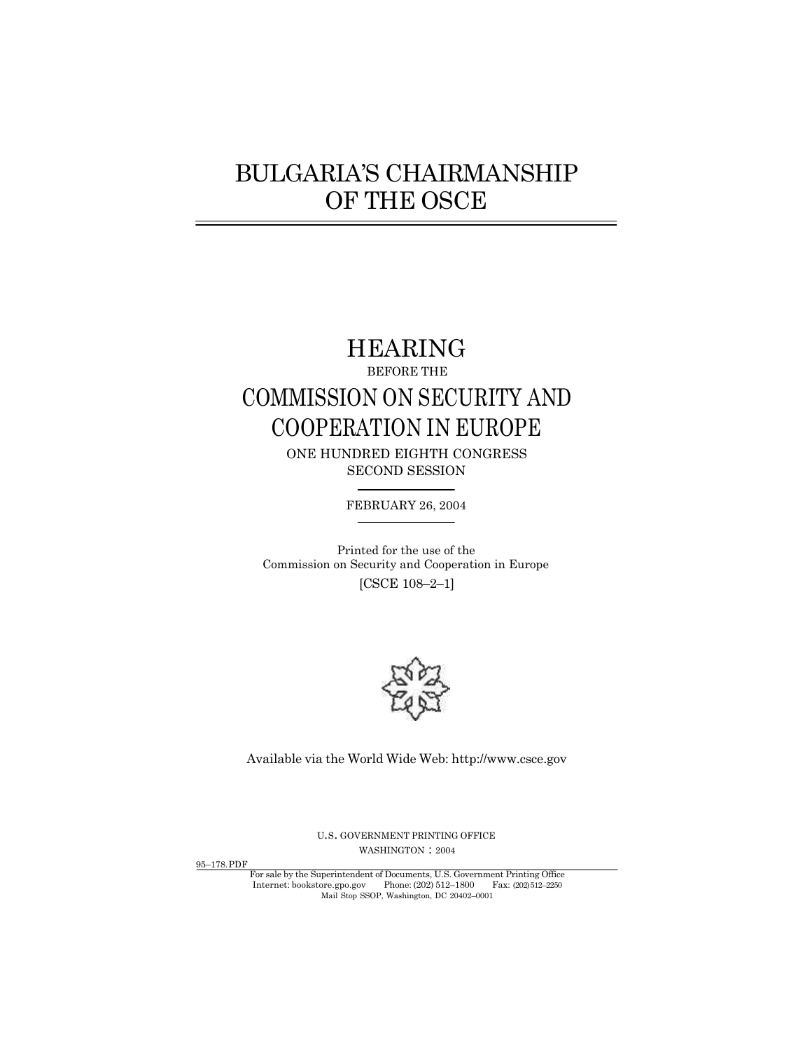# BULGARIA'S CHAIRMANSHIP OF THE OSCE

# HEARING

# BEFORE THE COMMISSION ON SECURITY AND COOPERATION IN EUROPE

ONE HUNDRED EIGHTH CONGRESS SECOND SESSION

FEBRUARY 26, 2004

Printed for the use of the Commission on Security and Cooperation in Europe [CSCE 108–2–1]



Available via the World Wide Web[: http://www.csce.gov](http://www.csce.gov)

<sup>U</sup>.S. GOVERNMENT PRINTING OFFICE WASHINGTON: 2004

95–178.PDF

.<br>hin For sale by the Superintendent of Documents, U.S. Government Printing Office [Internet: bookstore.gpo.gov](http://bookstore.gpo.gov) Phone: (202) 512–1800 Fax: (202) 512–2250 Mail Stop SSOP, Washington, DC 20402–0001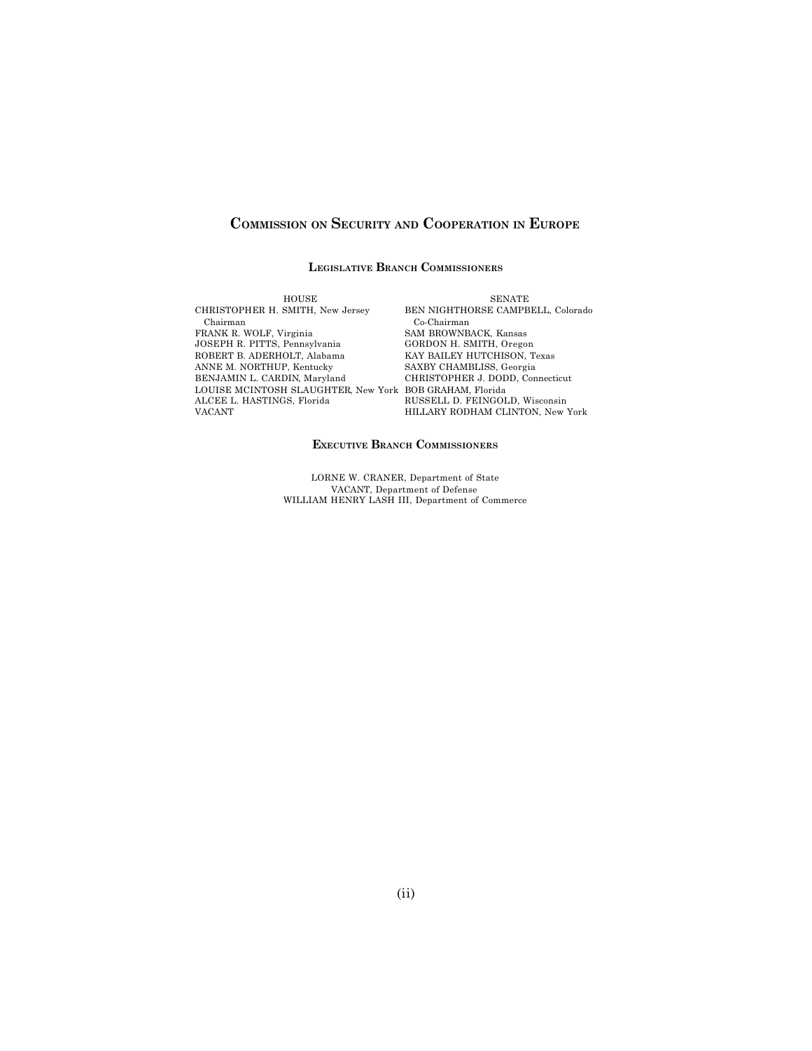## **COMMISSION ON SECURITY AND COOPERATION IN EUROPE**

#### **LEGISLATIVE BRANCH COMMISSIONERS**

HOUSE CHRISTOPHER H. SMITH, New Jersey Chairman FRANK R. WOLF, Virginia JOSEPH R. PITTS, Pennsylvania ROBERT B. ADERHOLT, Alabama ANNE M. NORTHUP, Kentucky BENJAMIN L. CARDIN, Maryland LOUISE MCINTOSH SLAUGHTER, New York BOB GRAHAM, Florida ALCEE L. HASTINGS, Florida VACANT

SENATE BEN NIGHTHORSE CAMPBELL, Colorado Co-Chairman SAM BROWNBACK, Kansas GORDON H. SMITH, Oregon KAY BAILEY HUTCHISON, Texas SAXBY CHAMBLISS, Georgia CHRISTOPHER J. DODD, Connecticut RUSSELL D. FEINGOLD, Wisconsin HILLARY RODHAM CLINTON, New York

#### **EXECUTIVE BRANCH COMMISSIONERS**

LORNE W. CRANER, Department of State VACANT, Department of Defense WILLIAM HENRY LASH III, Department of Commerce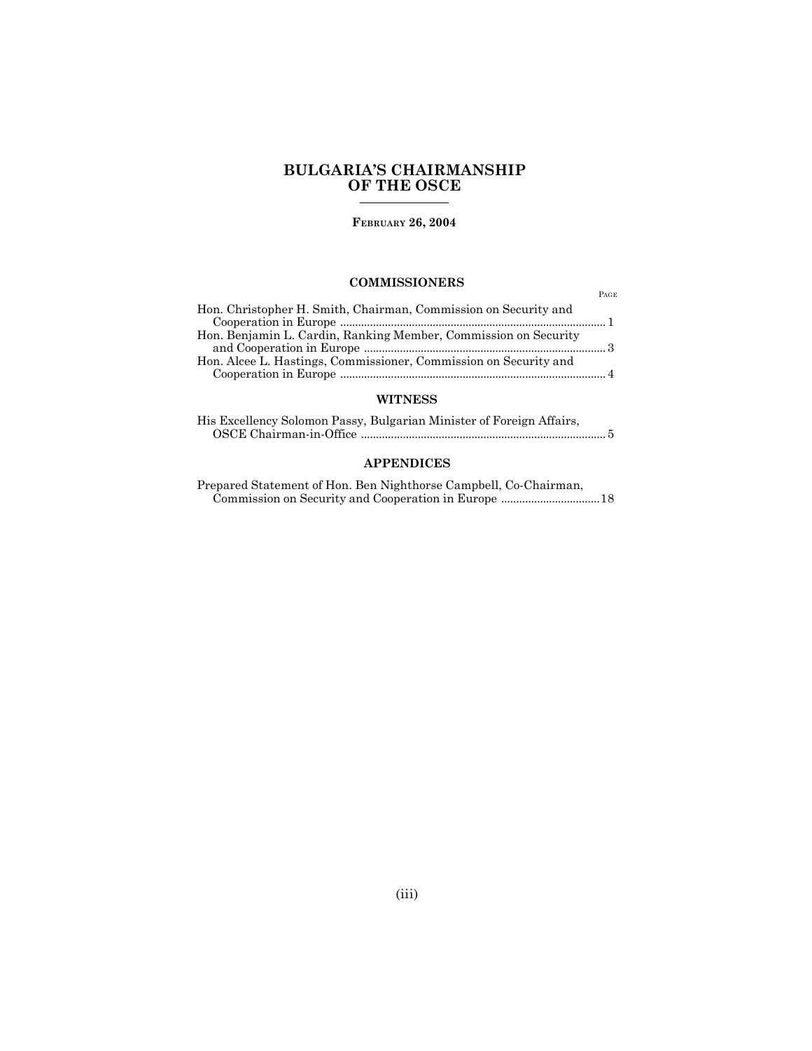## **BULGARIA'S CHAIRMANSHIP OF THE OSCE**

**FEBRUARY 26, 2004**

### **COMMISSIONERS**

PAGE

| Hon. Christopher H. Smith, Chairman, Commission on Security and                                                                                                                                                                                                                                                                                                                                                                                                                                                                                 |  |
|-------------------------------------------------------------------------------------------------------------------------------------------------------------------------------------------------------------------------------------------------------------------------------------------------------------------------------------------------------------------------------------------------------------------------------------------------------------------------------------------------------------------------------------------------|--|
| $Cooperation in Europe \ _{} \ \dots \ _{} \ \dots \ _{} \ \dots \ _{} \ \dots \ _{} \ \dots \ _{} \ \dots \ _{} \ \dots \ _{} \ \dots \ _{} \ \dots \ _{} \ \dots \ _{} \ \dots \ _{} \ \dots \ _{} \ \dots \ _{} \ \dots \ _{} \ \dots \ _{} \ \dots \ _{} \ \dots \ _{} \ \dots \ _{} \ \dots \ _{} \ \dots \ _{} \ \dots \ _{} \ \dots \ _{} \ \dots \ _{} \ \dots \ _{} \ \dots \ _{} \ \dots \ _{} \ \dots \ _{} \ \dots \ _{} \ \dots \ _{} \ \dots \ _{} \ \dots \ _{} \ \dots \ _{} \ \dots \ _{} \ \dots \ _{} \ \dots \ _{} \ \dots$ |  |
| Hon. Benjamin L. Cardin, Ranking Member, Commission on Security                                                                                                                                                                                                                                                                                                                                                                                                                                                                                 |  |
|                                                                                                                                                                                                                                                                                                                                                                                                                                                                                                                                                 |  |
| Hon. Alcee L. Hastings, Commissioner, Commission on Security and                                                                                                                                                                                                                                                                                                                                                                                                                                                                                |  |
|                                                                                                                                                                                                                                                                                                                                                                                                                                                                                                                                                 |  |

#### **WITNESS**

| His Excellency Solomon Passy, Bulgarian Minister of Foreign Affairs, |
|----------------------------------------------------------------------|
|                                                                      |

### **APPENDICES**

Prepared Statement of Hon. Ben Nighthorse Campbell, Co-Chairman, Commission on Security and Cooperation in Europe .................................18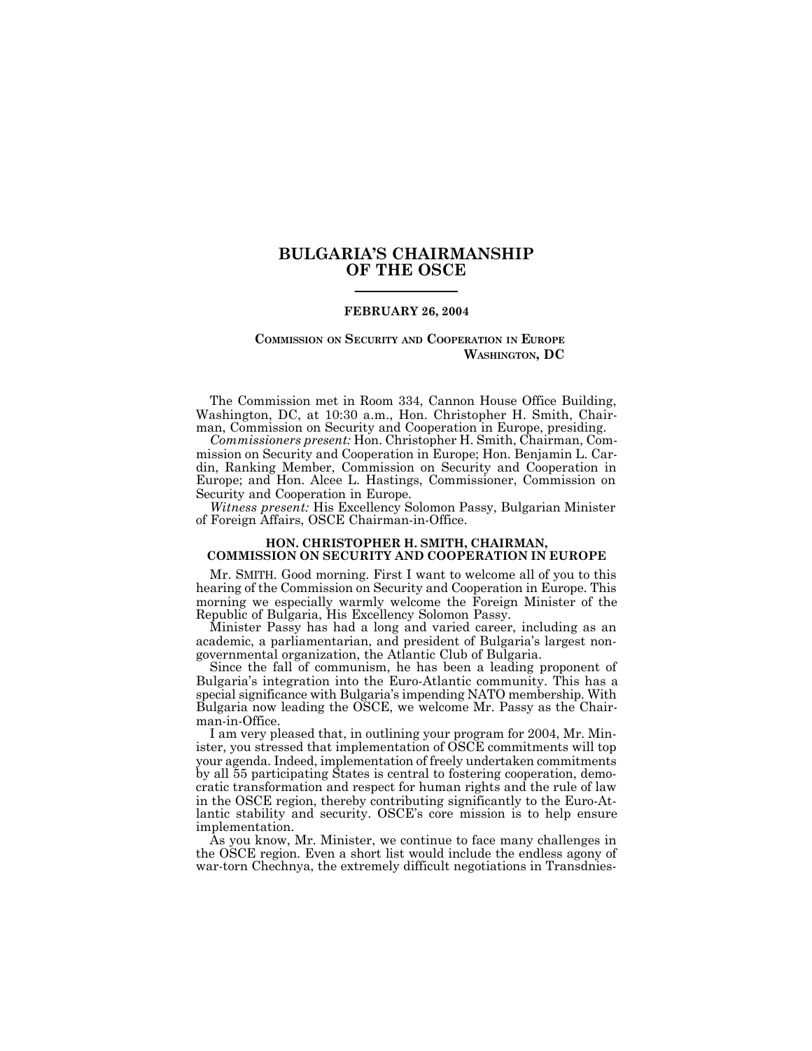### **BULGARIA'S CHAIRMANSHIP OF THE OSCE**

#### **FEBRUARY 26, 2004**

#### **COMMISSION ON SECURITY AND COOPERATION IN EUROPE WASHINGTON, DC**

The Commission met in Room 334, Cannon House Office Building, Washington, DC, at 10:30 a.m., Hon. Christopher H. Smith, Chairman, Commission on Security and Cooperation in Europe, presiding.

*Commissioners present:* Hon. Christopher H. Smith, Chairman, Commission on Security and Cooperation in Europe; Hon. Benjamin L. Cardin, Ranking Member, Commission on Security and Cooperation in Europe; and Hon. Alcee L. Hastings, Commissioner, Commission on Security and Cooperation in Europe.

*Witness present:* His Excellency Solomon Passy, Bulgarian Minister of Foreign Affairs, OSCE Chairman-in-Office.

#### **HON. CHRISTOPHER H. SMITH, CHAIRMAN, COMMISSION ON SECURITY AND COOPERATION IN EUROPE**

Mr. SMITH. Good morning. First I want to welcome all of you to this hearing of the Commission on Security and Cooperation in Europe. This morning we especially warmly welcome the Foreign Minister of the Republic of Bulgaria, His Excellency Solomon Passy.

Minister Passy has had a long and varied career, including as an academic, a parliamentarian, and president of Bulgaria's largest nongovernmental organization, the Atlantic Club of Bulgaria.

Since the fall of communism, he has been a leading proponent of Bulgaria's integration into the Euro-Atlantic community. This has a special significance with Bulgaria's impending NATO membership. With Bulgaria now leading the OSCE, we welcome Mr. Passy as the Chairman-in-Office.

I am very pleased that, in outlining your program for 2004, Mr. Minister, you stressed that implementation of OSCE commitments will top your agenda. Indeed, implementation of freely undertaken commitments by all 55 participating States is central to fostering cooperation, democratic transformation and respect for human rights and the rule of law in the OSCE region, thereby contributing significantly to the Euro-Atlantic stability and security. OSCE's core mission is to help ensure implementation.

As you know, Mr. Minister, we continue to face many challenges in the OSCE region. Even a short list would include the endless agony of war-torn Chechnya, the extremely difficult negotiations in Transdnies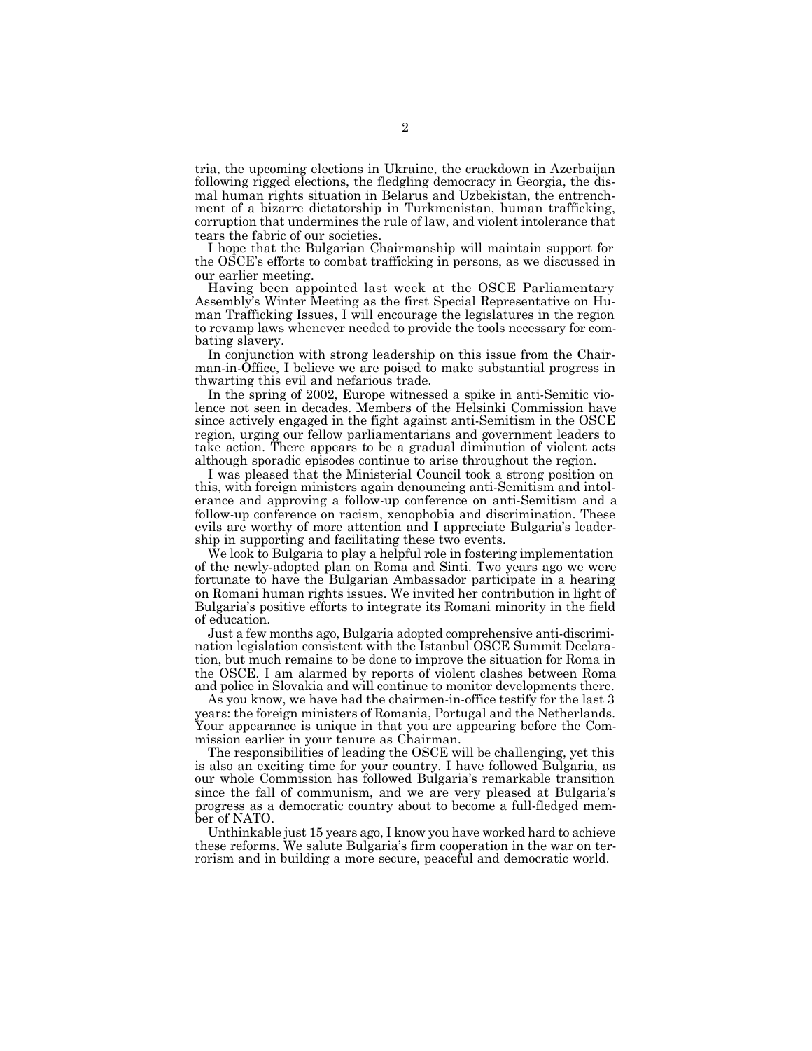tria, the upcoming elections in Ukraine, the crackdown in Azerbaijan following rigged elections, the fledgling democracy in Georgia, the dismal human rights situation in Belarus and Uzbekistan, the entrenchment of a bizarre dictatorship in Turkmenistan, human trafficking, corruption that undermines the rule of law, and violent intolerance that tears the fabric of our societies.

I hope that the Bulgarian Chairmanship will maintain support for the OSCE's efforts to combat trafficking in persons, as we discussed in our earlier meeting.

Having been appointed last week at the OSCE Parliamentary Assembly's Winter Meeting as the first Special Representative on Human Trafficking Issues, I will encourage the legislatures in the region to revamp laws whenever needed to provide the tools necessary for combating slavery.

In conjunction with strong leadership on this issue from the Chairman-in-Office, I believe we are poised to make substantial progress in thwarting this evil and nefarious trade.

In the spring of 2002, Europe witnessed a spike in anti-Semitic violence not seen in decades. Members of the Helsinki Commission have since actively engaged in the fight against anti-Semitism in the OSCE region, urging our fellow parliamentarians and government leaders to take action. There appears to be a gradual diminution of violent acts although sporadic episodes continue to arise throughout the region.

I was pleased that the Ministerial Council took a strong position on this, with foreign ministers again denouncing anti-Semitism and intolerance and approving a follow-up conference on anti-Semitism and a follow-up conference on racism, xenophobia and discrimination. These evils are worthy of more attention and I appreciate Bulgaria's leadership in supporting and facilitating these two events.

We look to Bulgaria to play a helpful role in fostering implementation of the newly-adopted plan on Roma and Sinti. Two years ago we were fortunate to have the Bulgarian Ambassador participate in a hearing on Romani human rights issues. We invited her contribution in light of Bulgaria's positive efforts to integrate its Romani minority in the field of education.

Just a few months ago, Bulgaria adopted comprehensive anti-discrimination legislation consistent with the Istanbul OSCE Summit Declaration, but much remains to be done to improve the situation for Roma in the OSCE. I am alarmed by reports of violent clashes between Roma and police in Slovakia and will continue to monitor developments there.

As you know, we have had the chairmen-in-office testify for the last 3 years: the foreign ministers of Romania, Portugal and the Netherlands. Your appearance is unique in that you are appearing before the Commission earlier in your tenure as Chairman.

The responsibilities of leading the OSCE will be challenging, yet this is also an exciting time for your country. I have followed Bulgaria, as our whole Commission has followed Bulgaria's remarkable transition since the fall of communism, and we are very pleased at Bulgaria's progress as a democratic country about to become a full-fledged member of NATO.

Unthinkable just 15 years ago, I know you have worked hard to achieve these reforms. We salute Bulgaria's firm cooperation in the war on terrorism and in building a more secure, peaceful and democratic world.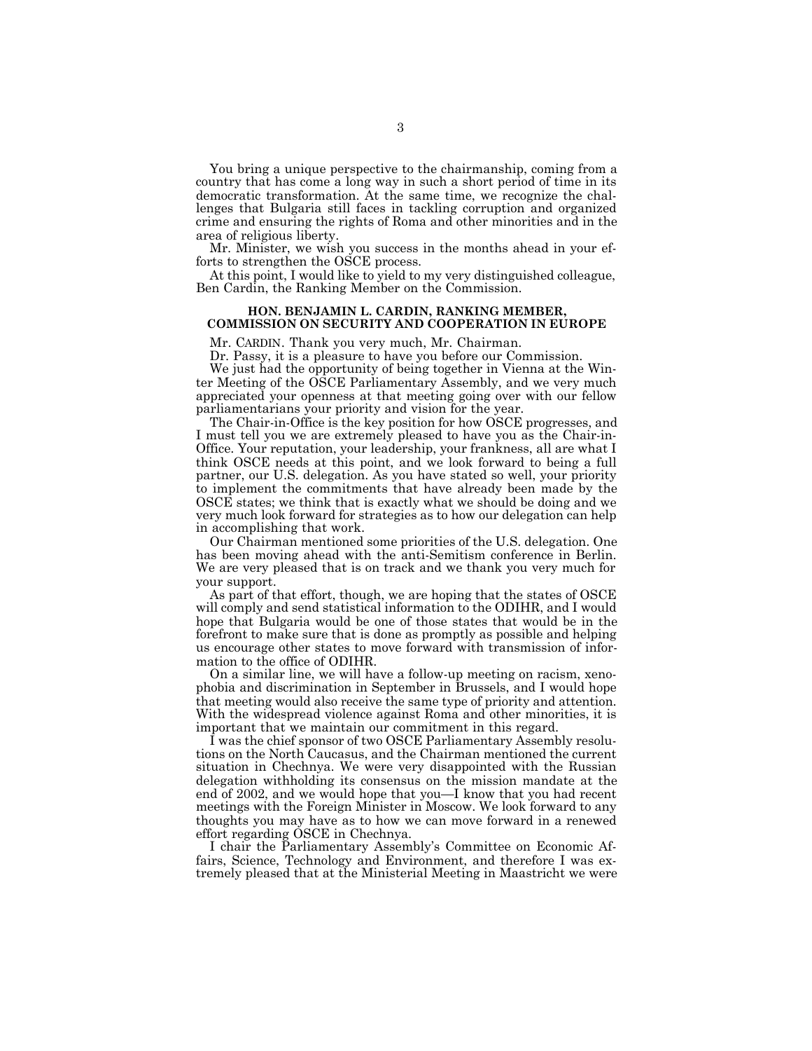You bring a unique perspective to the chairmanship, coming from a country that has come a long way in such a short period of time in its democratic transformation. At the same time, we recognize the challenges that Bulgaria still faces in tackling corruption and organized crime and ensuring the rights of Roma and other minorities and in the area of religious liberty.

Mr. Minister, we wish you success in the months ahead in your efforts to strengthen the OSCE process.

At this point, I would like to yield to my very distinguished colleague, Ben Cardin, the Ranking Member on the Commission.

#### **HON. BENJAMIN L. CARDIN, RANKING MEMBER, COMMISSION ON SECURITY AND COOPERATION IN EUROPE**

Mr. CARDIN. Thank you very much, Mr. Chairman.

Dr. Passy, it is a pleasure to have you before our Commission.

We just had the opportunity of being together in Vienna at the Winter Meeting of the OSCE Parliamentary Assembly, and we very much appreciated your openness at that meeting going over with our fellow parliamentarians your priority and vision for the year.

The Chair-in-Office is the key position for how OSCE progresses, and I must tell you we are extremely pleased to have you as the Chair-in-Office. Your reputation, your leadership, your frankness, all are what I think OSCE needs at this point, and we look forward to being a full partner, our U.S. delegation. As you have stated so well, your priority to implement the commitments that have already been made by the OSCE states; we think that is exactly what we should be doing and we very much look forward for strategies as to how our delegation can help in accomplishing that work.

Our Chairman mentioned some priorities of the U.S. delegation. One has been moving ahead with the anti-Semitism conference in Berlin. We are very pleased that is on track and we thank you very much for your support.

As part of that effort, though, we are hoping that the states of OSCE will comply and send statistical information to the ODIHR, and I would hope that Bulgaria would be one of those states that would be in the forefront to make sure that is done as promptly as possible and helping us encourage other states to move forward with transmission of information to the office of ODIHR.

On a similar line, we will have a follow-up meeting on racism, xenophobia and discrimination in September in Brussels, and I would hope that meeting would also receive the same type of priority and attention. With the widespread violence against Roma and other minorities, it is important that we maintain our commitment in this regard.

I was the chief sponsor of two OSCE Parliamentary Assembly resolutions on the North Caucasus, and the Chairman mentioned the current situation in Chechnya. We were very disappointed with the Russian delegation withholding its consensus on the mission mandate at the end of 2002, and we would hope that you—I know that you had recent meetings with the Foreign Minister in Moscow. We look forward to any thoughts you may have as to how we can move forward in a renewed effort regarding OSCE in Chechnya.

I chair the Parliamentary Assembly's Committee on Economic Affairs, Science, Technology and Environment, and therefore I was extremely pleased that at the Ministerial Meeting in Maastricht we were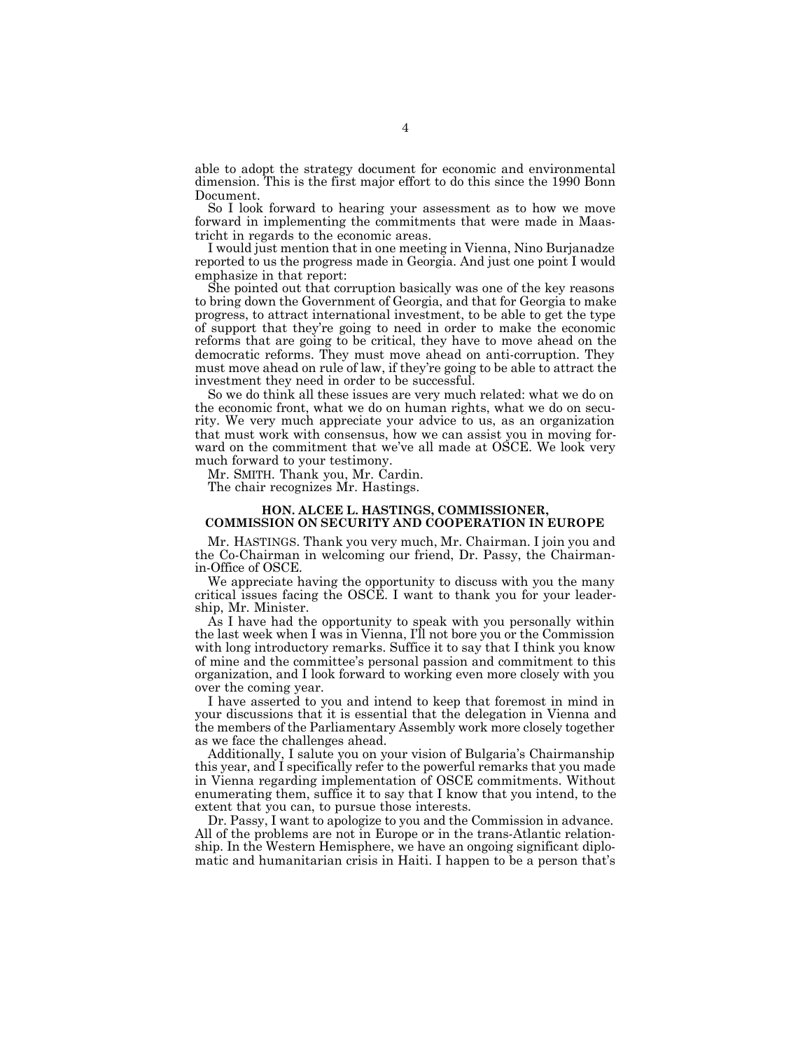able to adopt the strategy document for economic and environmental dimension. This is the first major effort to do this since the 1990 Bonn Document.

So I look forward to hearing your assessment as to how we move forward in implementing the commitments that were made in Maastricht in regards to the economic areas.

I would just mention that in one meeting in Vienna, Nino Burjanadze reported to us the progress made in Georgia. And just one point I would emphasize in that report:

She pointed out that corruption basically was one of the key reasons to bring down the Government of Georgia, and that for Georgia to make progress, to attract international investment, to be able to get the type of support that they're going to need in order to make the economic reforms that are going to be critical, they have to move ahead on the democratic reforms. They must move ahead on anti-corruption. They must move ahead on rule of law, if they're going to be able to attract the investment they need in order to be successful.

So we do think all these issues are very much related: what we do on the economic front, what we do on human rights, what we do on security. We very much appreciate your advice to us, as an organization that must work with consensus, how we can assist you in moving forward on the commitment that we've all made at OSCE. We look very much forward to your testimony.

Mr. SMITH. Thank you, Mr. Cardin.

The chair recognizes Mr. Hastings.

#### **HON. ALCEE L. HASTINGS, COMMISSIONER, COMMISSION ON SECURITY AND COOPERATION IN EUROPE**

Mr. HASTINGS. Thank you very much, Mr. Chairman. I join you and the Co-Chairman in welcoming our friend, Dr. Passy, the Chairmanin-Office of OSCE.

We appreciate having the opportunity to discuss with you the many critical issues facing the OSCE. I want to thank you for your leadership, Mr. Minister.

As I have had the opportunity to speak with you personally within the last week when I was in Vienna, I'll not bore you or the Commission with long introductory remarks. Suffice it to say that I think you know of mine and the committee's personal passion and commitment to this organization, and I look forward to working even more closely with you over the coming year.

I have asserted to you and intend to keep that foremost in mind in your discussions that it is essential that the delegation in Vienna and the members of the Parliamentary Assembly work more closely together as we face the challenges ahead.

Additionally, I salute you on your vision of Bulgaria's Chairmanship this year, and I specifically refer to the powerful remarks that you made in Vienna regarding implementation of OSCE commitments. Without enumerating them, suffice it to say that I know that you intend, to the extent that you can, to pursue those interests.

Dr. Passy, I want to apologize to you and the Commission in advance. All of the problems are not in Europe or in the trans-Atlantic relationship. In the Western Hemisphere, we have an ongoing significant diplomatic and humanitarian crisis in Haiti. I happen to be a person that's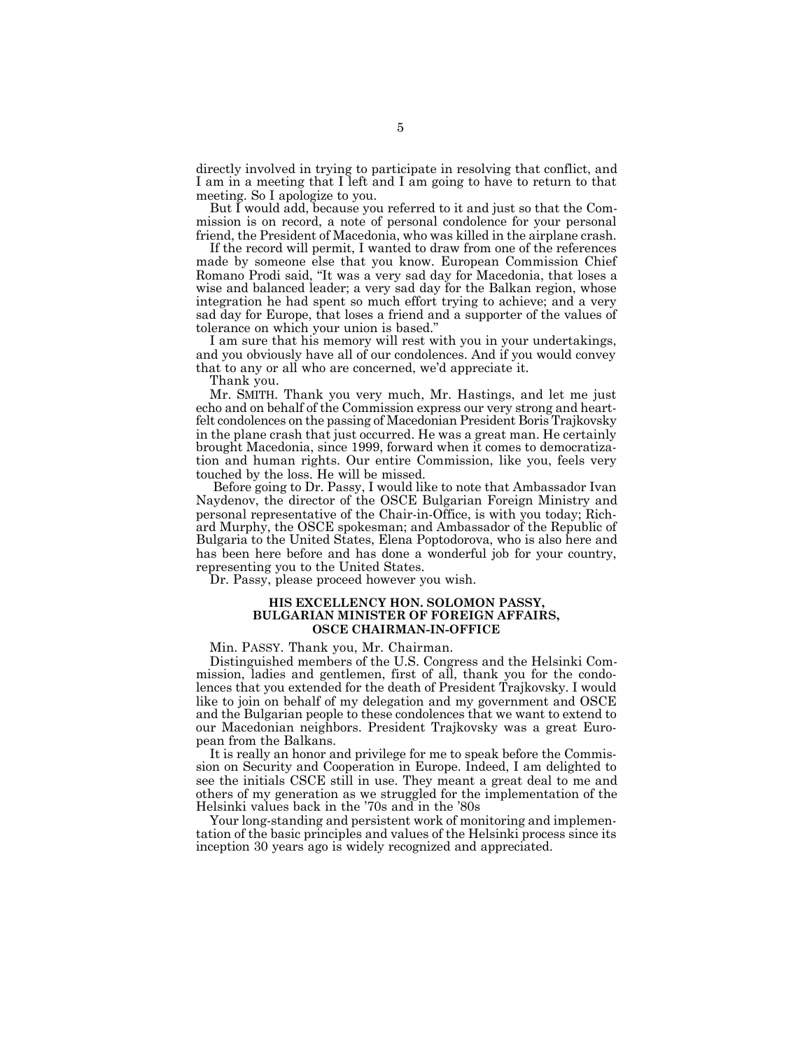directly involved in trying to participate in resolving that conflict, and I am in a meeting that I left and I am going to have to return to that meeting. So I apologize to you.

But I would add, because you referred to it and just so that the Commission is on record, a note of personal condolence for your personal friend, the President of Macedonia, who was killed in the airplane crash.

If the record will permit, I wanted to draw from one of the references made by someone else that you know. European Commission Chief Romano Prodi said, "It was a very sad day for Macedonia, that loses a wise and balanced leader; a very sad day for the Balkan region, whose integration he had spent so much effort trying to achieve; and a very sad day for Europe, that loses a friend and a supporter of the values of tolerance on which your union is based."

I am sure that his memory will rest with you in your undertakings, and you obviously have all of our condolences. And if you would convey that to any or all who are concerned, we'd appreciate it.

Thank you.

Mr. SMITH. Thank you very much, Mr. Hastings, and let me just echo and on behalf of the Commission express our very strong and heartfelt condolences on the passing of Macedonian President Boris Trajkovsky in the plane crash that just occurred. He was a great man. He certainly brought Macedonia, since 1999, forward when it comes to democratization and human rights. Our entire Commission, like you, feels very touched by the loss. He will be missed.

 Before going to Dr. Passy, I would like to note that Ambassador Ivan Naydenov, the director of the OSCE Bulgarian Foreign Ministry and personal representative of the Chair-in-Office, is with you today; Richard Murphy, the OSCE spokesman; and Ambassador of the Republic of Bulgaria to the United States, Elena Poptodorova, who is also here and has been here before and has done a wonderful job for your country, representing you to the United States.

Dr. Passy, please proceed however you wish.

#### **HIS EXCELLENCY HON. SOLOMON PASSY, BULGARIAN MINISTER OF FOREIGN AFFAIRS, OSCE CHAIRMAN-IN-OFFICE**

Min. PASSY. Thank you, Mr. Chairman.

Distinguished members of the U.S. Congress and the Helsinki Commission, ladies and gentlemen, first of all, thank you for the condolences that you extended for the death of President Trajkovsky. I would like to join on behalf of my delegation and my government and OSCE and the Bulgarian people to these condolences that we want to extend to our Macedonian neighbors. President Trajkovsky was a great European from the Balkans.

It is really an honor and privilege for me to speak before the Commission on Security and Cooperation in Europe. Indeed, I am delighted to see the initials CSCE still in use. They meant a great deal to me and others of my generation as we struggled for the implementation of the Helsinki values back in the '70s and in the '80s

Your long-standing and persistent work of monitoring and implementation of the basic principles and values of the Helsinki process since its inception 30 years ago is widely recognized and appreciated.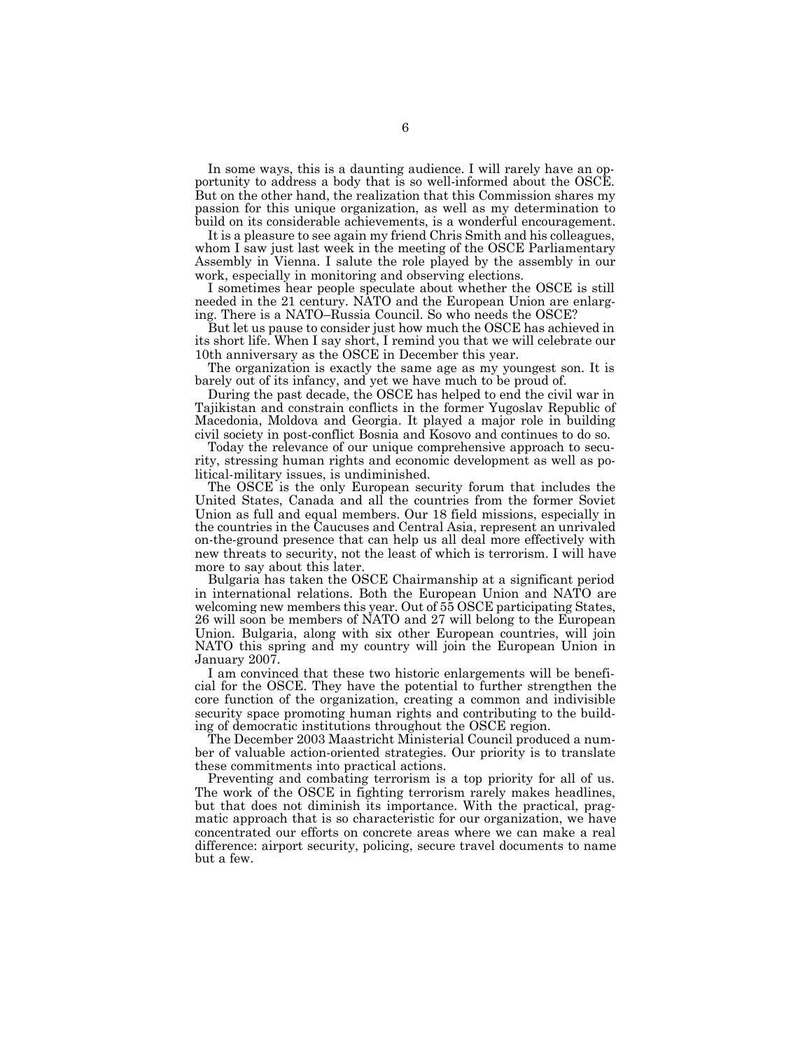In some ways, this is a daunting audience. I will rarely have an opportunity to address a body that is so well-informed about the OSCE. But on the other hand, the realization that this Commission shares my passion for this unique organization, as well as my determination to build on its considerable achievements, is a wonderful encouragement.

It is a pleasure to see again my friend Chris Smith and his colleagues, whom I saw just last week in the meeting of the OSCE Parliamentary Assembly in Vienna. I salute the role played by the assembly in our work, especially in monitoring and observing elections.

I sometimes hear people speculate about whether the OSCE is still needed in the 21 century. NATO and the European Union are enlarging. There is a NATO–Russia Council. So who needs the OSCE?

But let us pause to consider just how much the OSCE has achieved in its short life. When I say short, I remind you that we will celebrate our 10th anniversary as the OSCE in December this year.

The organization is exactly the same age as my youngest son. It is barely out of its infancy, and yet we have much to be proud of.

During the past decade, the OSCE has helped to end the civil war in Tajikistan and constrain conflicts in the former Yugoslav Republic of Macedonia, Moldova and Georgia. It played a major role in building civil society in post-conflict Bosnia and Kosovo and continues to do so.

Today the relevance of our unique comprehensive approach to security, stressing human rights and economic development as well as political-military issues, is undiminished.

The OSCE is the only European security forum that includes the United States, Canada and all the countries from the former Soviet Union as full and equal members. Our 18 field missions, especially in the countries in the Caucuses and Central Asia, represent an unrivaled on-the-ground presence that can help us all deal more effectively with new threats to security, not the least of which is terrorism. I will have more to say about this later.

Bulgaria has taken the OSCE Chairmanship at a significant period in international relations. Both the European Union and NATO are welcoming new members this year. Out of 55 OSCE participating States, 26 will soon be members of NATO and 27 will belong to the European Union. Bulgaria, along with six other European countries, will join NATO this spring and my country will join the European Union in January 2007.

I am convinced that these two historic enlargements will be beneficial for the OSCE. They have the potential to further strengthen the core function of the organization, creating a common and indivisible security space promoting human rights and contributing to the building of democratic institutions throughout the OSCE region.

The December 2003 Maastricht Ministerial Council produced a number of valuable action-oriented strategies. Our priority is to translate these commitments into practical actions.

Preventing and combating terrorism is a top priority for all of us. The work of the OSCE in fighting terrorism rarely makes headlines, but that does not diminish its importance. With the practical, pragmatic approach that is so characteristic for our organization, we have concentrated our efforts on concrete areas where we can make a real difference: airport security, policing, secure travel documents to name but a few.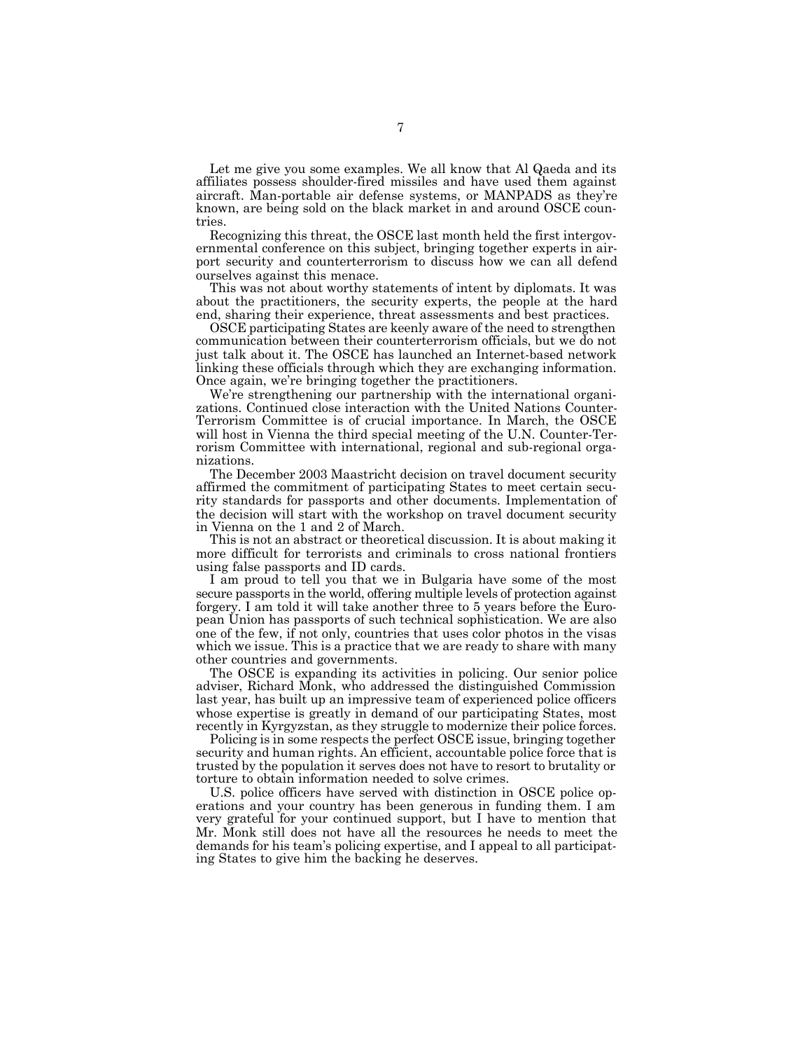Let me give you some examples. We all know that Al Qaeda and its affiliates possess shoulder-fired missiles and have used them against aircraft. Man-portable air defense systems, or MANPADS as they're known, are being sold on the black market in and around OSCE countries.

Recognizing this threat, the OSCE last month held the first intergovernmental conference on this subject, bringing together experts in airport security and counterterrorism to discuss how we can all defend ourselves against this menace.

This was not about worthy statements of intent by diplomats. It was about the practitioners, the security experts, the people at the hard end, sharing their experience, threat assessments and best practices.

OSCE participating States are keenly aware of the need to strengthen communication between their counterterrorism officials, but we do not just talk about it. The OSCE has launched an Internet-based network linking these officials through which they are exchanging information. Once again, we're bringing together the practitioners.

We're strengthening our partnership with the international organizations. Continued close interaction with the United Nations Counter-Terrorism Committee is of crucial importance. In March, the OSCE will host in Vienna the third special meeting of the U.N. Counter-Terrorism Committee with international, regional and sub-regional organizations.

The December 2003 Maastricht decision on travel document security affirmed the commitment of participating States to meet certain security standards for passports and other documents. Implementation of the decision will start with the workshop on travel document security in Vienna on the 1 and 2 of March.

This is not an abstract or theoretical discussion. It is about making it more difficult for terrorists and criminals to cross national frontiers using false passports and ID cards.

I am proud to tell you that we in Bulgaria have some of the most secure passports in the world, offering multiple levels of protection against forgery. I am told it will take another three to 5 years before the European Union has passports of such technical sophistication. We are also one of the few, if not only, countries that uses color photos in the visas which we issue. This is a practice that we are ready to share with many other countries and governments.

The OSCE is expanding its activities in policing. Our senior police adviser, Richard Monk, who addressed the distinguished Commission last year, has built up an impressive team of experienced police officers whose expertise is greatly in demand of our participating States, most recently in Kyrgyzstan, as they struggle to modernize their police forces.

Policing is in some respects the perfect OSCE issue, bringing together security and human rights. An efficient, accountable police force that is trusted by the population it serves does not have to resort to brutality or torture to obtain information needed to solve crimes.

U.S. police officers have served with distinction in OSCE police operations and your country has been generous in funding them. I am very grateful for your continued support, but I have to mention that Mr. Monk still does not have all the resources he needs to meet the demands for his team's policing expertise, and I appeal to all participating States to give him the backing he deserves.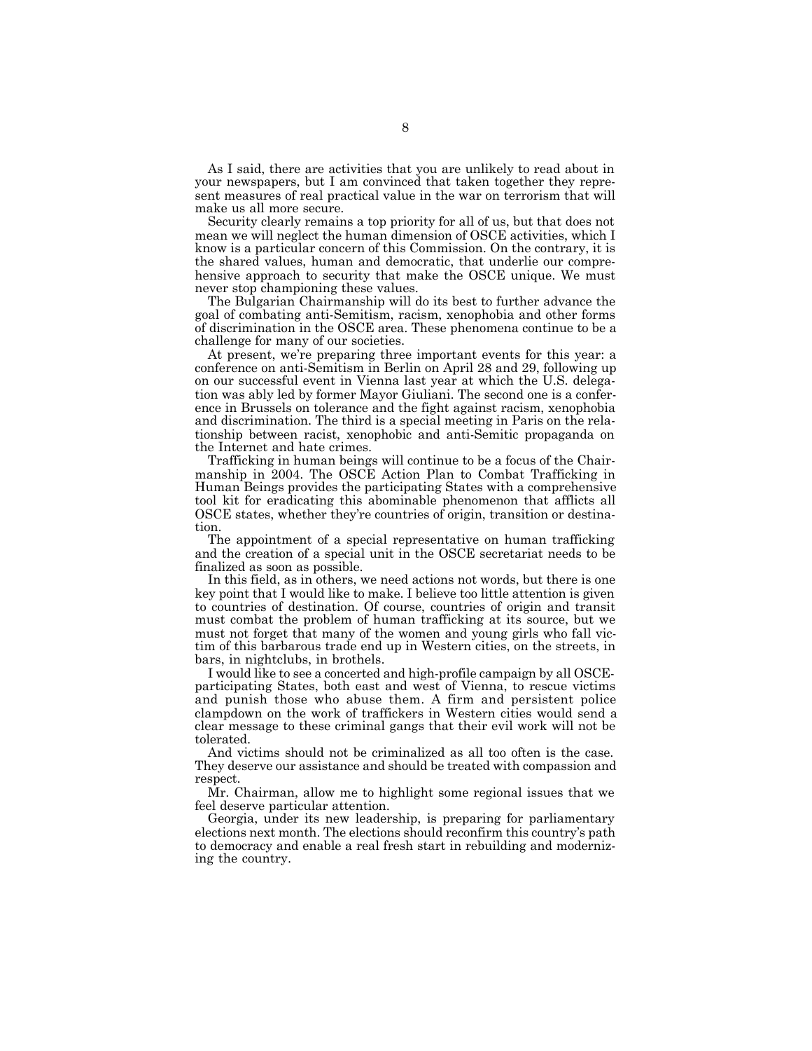As I said, there are activities that you are unlikely to read about in your newspapers, but I am convinced that taken together they represent measures of real practical value in the war on terrorism that will make us all more secure.

Security clearly remains a top priority for all of us, but that does not mean we will neglect the human dimension of OSCE activities, which I know is a particular concern of this Commission. On the contrary, it is the shared values, human and democratic, that underlie our comprehensive approach to security that make the OSCE unique. We must never stop championing these values.

The Bulgarian Chairmanship will do its best to further advance the goal of combating anti-Semitism, racism, xenophobia and other forms of discrimination in the OSCE area. These phenomena continue to be a challenge for many of our societies.

At present, we're preparing three important events for this year: a conference on anti-Semitism in Berlin on April 28 and 29, following up on our successful event in Vienna last year at which the U.S. delegation was ably led by former Mayor Giuliani. The second one is a conference in Brussels on tolerance and the fight against racism, xenophobia and discrimination. The third is a special meeting in Paris on the relationship between racist, xenophobic and anti-Semitic propaganda on the Internet and hate crimes.

Trafficking in human beings will continue to be a focus of the Chairmanship in 2004. The OSCE Action Plan to Combat Trafficking in Human Beings provides the participating States with a comprehensive tool kit for eradicating this abominable phenomenon that afflicts all OSCE states, whether they're countries of origin, transition or destination.

The appointment of a special representative on human trafficking and the creation of a special unit in the OSCE secretariat needs to be finalized as soon as possible.

In this field, as in others, we need actions not words, but there is one key point that I would like to make. I believe too little attention is given to countries of destination. Of course, countries of origin and transit must combat the problem of human trafficking at its source, but we must not forget that many of the women and young girls who fall victim of this barbarous trade end up in Western cities, on the streets, in bars, in nightclubs, in brothels.

I would like to see a concerted and high-profile campaign by all OSCEparticipating States, both east and west of Vienna, to rescue victims and punish those who abuse them. A firm and persistent police clampdown on the work of traffickers in Western cities would send a clear message to these criminal gangs that their evil work will not be tolerated.

And victims should not be criminalized as all too often is the case. They deserve our assistance and should be treated with compassion and respect.

Mr. Chairman, allow me to highlight some regional issues that we feel deserve particular attention.

Georgia, under its new leadership, is preparing for parliamentary elections next month. The elections should reconfirm this country's path to democracy and enable a real fresh start in rebuilding and modernizing the country.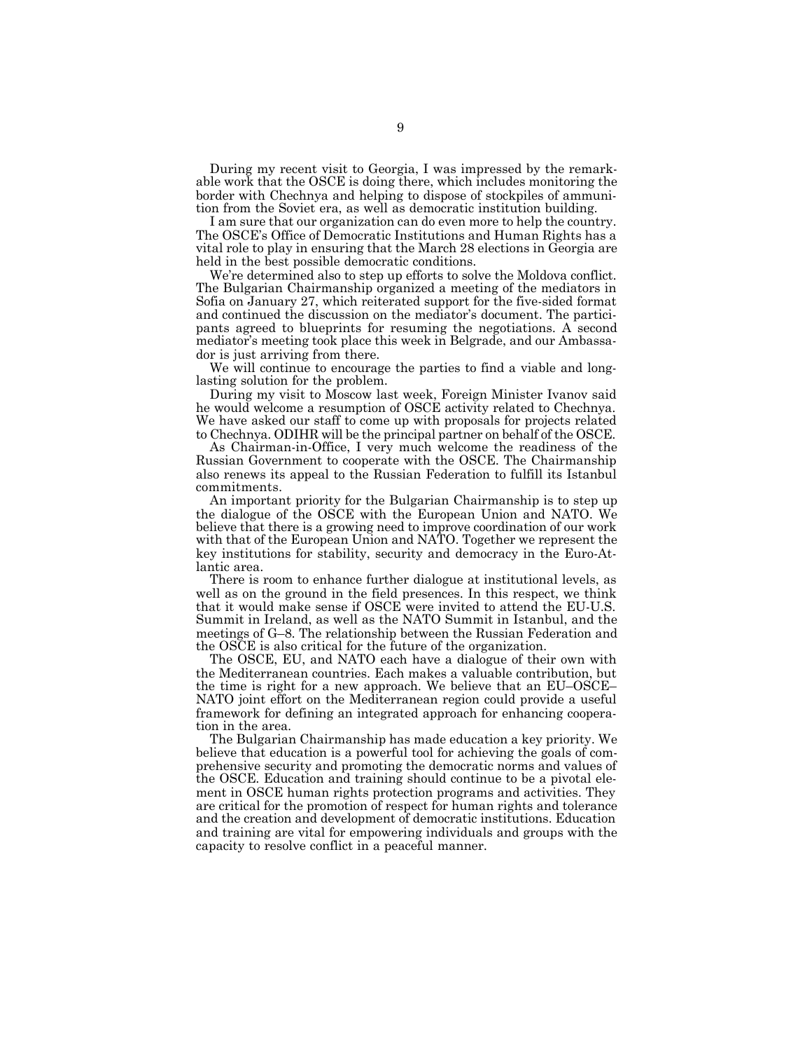During my recent visit to Georgia, I was impressed by the remarkable work that the OSCE is doing there, which includes monitoring the border with Chechnya and helping to dispose of stockpiles of ammunition from the Soviet era, as well as democratic institution building.

I am sure that our organization can do even more to help the country. The OSCE's Office of Democratic Institutions and Human Rights has a vital role to play in ensuring that the March 28 elections in Georgia are held in the best possible democratic conditions.

We're determined also to step up efforts to solve the Moldova conflict. The Bulgarian Chairmanship organized a meeting of the mediators in Sofia on January 27, which reiterated support for the five-sided format and continued the discussion on the mediator's document. The participants agreed to blueprints for resuming the negotiations. A second mediator's meeting took place this week in Belgrade, and our Ambassador is just arriving from there.

We will continue to encourage the parties to find a viable and longlasting solution for the problem.

During my visit to Moscow last week, Foreign Minister Ivanov said he would welcome a resumption of OSCE activity related to Chechnya. We have asked our staff to come up with proposals for projects related to Chechnya. ODIHR will be the principal partner on behalf of the OSCE.

As Chairman-in-Office, I very much welcome the readiness of the Russian Government to cooperate with the OSCE. The Chairmanship also renews its appeal to the Russian Federation to fulfill its Istanbul commitments.

An important priority for the Bulgarian Chairmanship is to step up the dialogue of the OSCE with the European Union and NATO. We believe that there is a growing need to improve coordination of our work with that of the European Union and NATO. Together we represent the key institutions for stability, security and democracy in the Euro-Atlantic area.

There is room to enhance further dialogue at institutional levels, as well as on the ground in the field presences. In this respect, we think that it would make sense if OSCE were invited to attend the EU-U.S. Summit in Ireland, as well as the NATO Summit in Istanbul, and the meetings of G–8. The relationship between the Russian Federation and the OSCE is also critical for the future of the organization.

The OSCE, EU, and NATO each have a dialogue of their own with the Mediterranean countries. Each makes a valuable contribution, but the time is right for a new approach. We believe that an EU–OSCE– NATO joint effort on the Mediterranean region could provide a useful framework for defining an integrated approach for enhancing cooperation in the area.

The Bulgarian Chairmanship has made education a key priority. We believe that education is a powerful tool for achieving the goals of comprehensive security and promoting the democratic norms and values of the OSCE. Education and training should continue to be a pivotal element in OSCE human rights protection programs and activities. They are critical for the promotion of respect for human rights and tolerance and the creation and development of democratic institutions. Education and training are vital for empowering individuals and groups with the capacity to resolve conflict in a peaceful manner.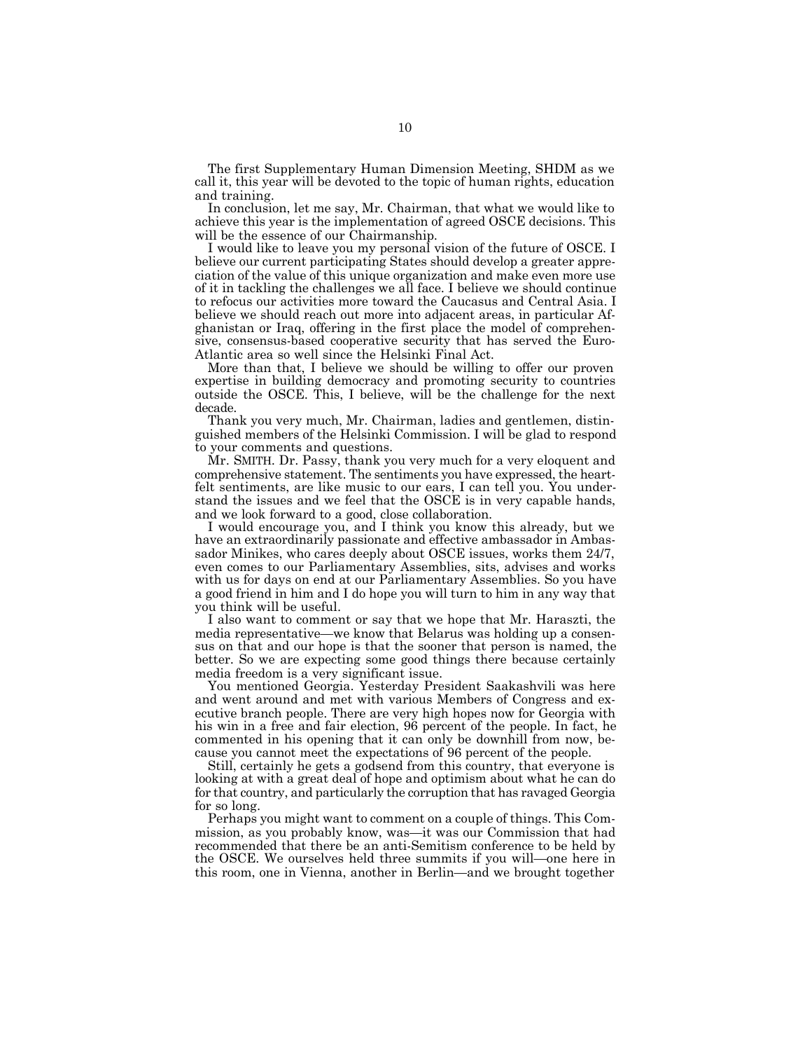The first Supplementary Human Dimension Meeting, SHDM as we call it, this year will be devoted to the topic of human rights, education and training.

In conclusion, let me say, Mr. Chairman, that what we would like to achieve this year is the implementation of agreed OSCE decisions. This will be the essence of our Chairmanship.

I would like to leave you my personal vision of the future of OSCE. I believe our current participating States should develop a greater appreciation of the value of this unique organization and make even more use of it in tackling the challenges we all face. I believe we should continue to refocus our activities more toward the Caucasus and Central Asia. I believe we should reach out more into adjacent areas, in particular Afghanistan or Iraq, offering in the first place the model of comprehensive, consensus-based cooperative security that has served the Euro-Atlantic area so well since the Helsinki Final Act.

More than that, I believe we should be willing to offer our proven expertise in building democracy and promoting security to countries outside the OSCE. This, I believe, will be the challenge for the next decade.

Thank you very much, Mr. Chairman, ladies and gentlemen, distinguished members of the Helsinki Commission. I will be glad to respond to your comments and questions.

Mr. SMITH. Dr. Passy, thank you very much for a very eloquent and comprehensive statement. The sentiments you have expressed, the heartfelt sentiments, are like music to our ears, I can tell you. You understand the issues and we feel that the OSCE is in very capable hands, and we look forward to a good, close collaboration.

I would encourage you, and I think you know this already, but we have an extraordinarily passionate and effective ambassador in Ambassador Minikes, who cares deeply about OSCE issues, works them 24/7, even comes to our Parliamentary Assemblies, sits, advises and works with us for days on end at our Parliamentary Assemblies. So you have a good friend in him and I do hope you will turn to him in any way that you think will be useful.

I also want to comment or say that we hope that Mr. Haraszti, the media representative—we know that Belarus was holding up a consensus on that and our hope is that the sooner that person is named, the better. So we are expecting some good things there because certainly media freedom is a very significant issue.

You mentioned Georgia. Yesterday President Saakashvili was here and went around and met with various Members of Congress and executive branch people. There are very high hopes now for Georgia with his win in a free and fair election, 96 percent of the people. In fact, he commented in his opening that it can only be downhill from now, because you cannot meet the expectations of 96 percent of the people.

Still, certainly he gets a godsend from this country, that everyone is looking at with a great deal of hope and optimism about what he can do for that country, and particularly the corruption that has ravaged Georgia for so long.

Perhaps you might want to comment on a couple of things. This Commission, as you probably know, was—it was our Commission that had recommended that there be an anti-Semitism conference to be held by the OSCE. We ourselves held three summits if you will—one here in this room, one in Vienna, another in Berlin—and we brought together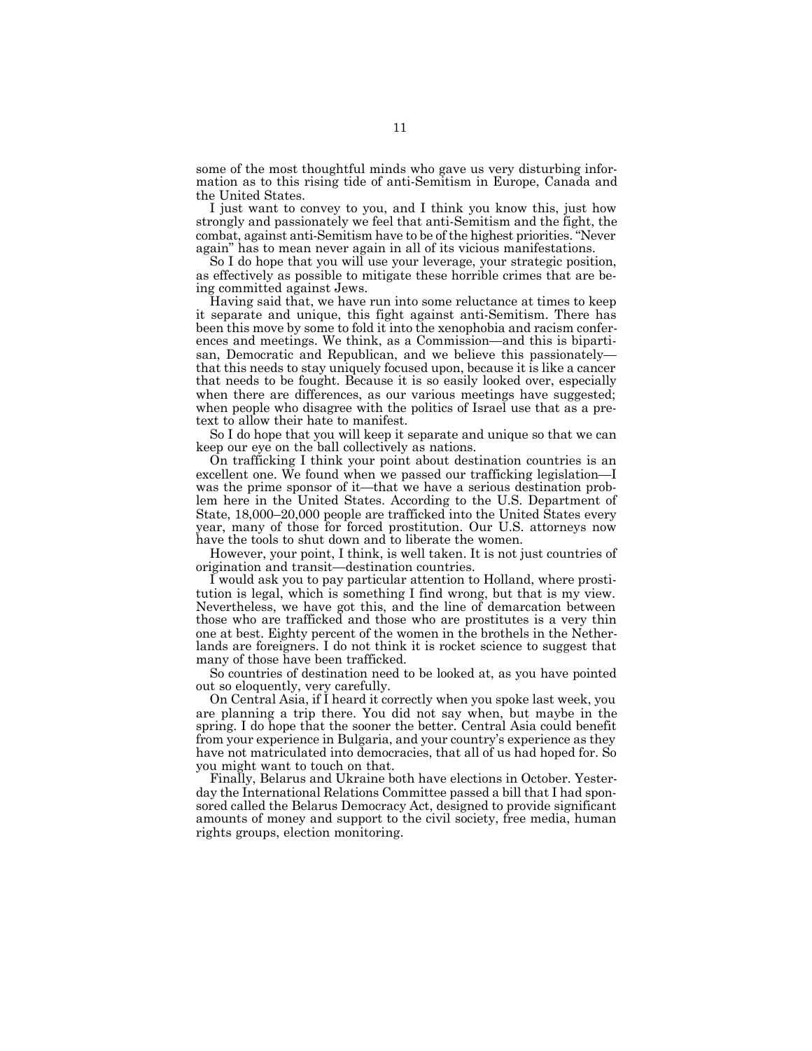some of the most thoughtful minds who gave us very disturbing information as to this rising tide of anti-Semitism in Europe, Canada and the United States.

I just want to convey to you, and I think you know this, just how strongly and passionately we feel that anti-Semitism and the fight, the combat, against anti-Semitism have to be of the highest priorities. "Never again" has to mean never again in all of its vicious manifestations.

So I do hope that you will use your leverage, your strategic position, as effectively as possible to mitigate these horrible crimes that are being committed against Jews.

Having said that, we have run into some reluctance at times to keep it separate and unique, this fight against anti-Semitism. There has been this move by some to fold it into the xenophobia and racism conferences and meetings. We think, as a Commission—and this is bipartisan, Democratic and Republican, and we believe this passionately that this needs to stay uniquely focused upon, because it is like a cancer that needs to be fought. Because it is so easily looked over, especially when there are differences, as our various meetings have suggested; when people who disagree with the politics of Israel use that as a pretext to allow their hate to manifest.

So I do hope that you will keep it separate and unique so that we can keep our eye on the ball collectively as nations.

On trafficking I think your point about destination countries is an excellent one. We found when we passed our trafficking legislation—I was the prime sponsor of it—that we have a serious destination problem here in the United States. According to the U.S. Department of State, 18,000–20,000 people are trafficked into the United States every year, many of those for forced prostitution. Our U.S. attorneys now have the tools to shut down and to liberate the women.

However, your point, I think, is well taken. It is not just countries of origination and transit—destination countries.

I would ask you to pay particular attention to Holland, where prostitution is legal, which is something I find wrong, but that is my view. Nevertheless, we have got this, and the line of demarcation between those who are trafficked and those who are prostitutes is a very thin one at best. Eighty percent of the women in the brothels in the Netherlands are foreigners. I do not think it is rocket science to suggest that many of those have been trafficked.

So countries of destination need to be looked at, as you have pointed out so eloquently, very carefully.

On Central Asia, if I heard it correctly when you spoke last week, you are planning a trip there. You did not say when, but maybe in the spring. I do hope that the sooner the better. Central Asia could benefit from your experience in Bulgaria, and your country's experience as they have not matriculated into democracies, that all of us had hoped for. So you might want to touch on that.

Finally, Belarus and Ukraine both have elections in October. Yesterday the International Relations Committee passed a bill that I had sponsored called the Belarus Democracy Act, designed to provide significant amounts of money and support to the civil society, free media, human rights groups, election monitoring.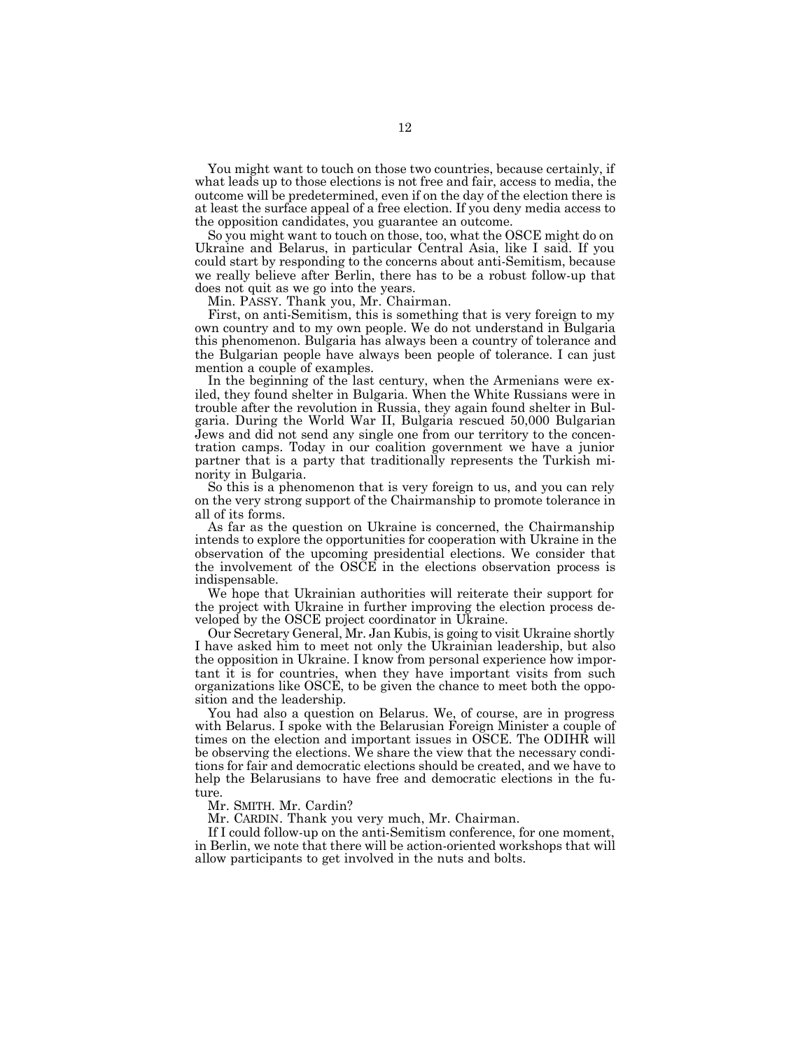You might want to touch on those two countries, because certainly, if what leads up to those elections is not free and fair, access to media, the outcome will be predetermined, even if on the day of the election there is at least the surface appeal of a free election. If you deny media access to the opposition candidates, you guarantee an outcome.

So you might want to touch on those, too, what the OSCE might do on Ukraine and Belarus, in particular Central Asia, like I said. If you could start by responding to the concerns about anti-Semitism, because we really believe after Berlin, there has to be a robust follow-up that does not quit as we go into the years.

Min. PASSY. Thank you, Mr. Chairman.

First, on anti-Semitism, this is something that is very foreign to my own country and to my own people. We do not understand in Bulgaria this phenomenon. Bulgaria has always been a country of tolerance and the Bulgarian people have always been people of tolerance. I can just mention a couple of examples.

In the beginning of the last century, when the Armenians were exiled, they found shelter in Bulgaria. When the White Russians were in trouble after the revolution in Russia, they again found shelter in Bulgaria. During the World War II, Bulgaria rescued 50,000 Bulgarian Jews and did not send any single one from our territory to the concentration camps. Today in our coalition government we have a junior partner that is a party that traditionally represents the Turkish minority in Bulgaria.

So this is a phenomenon that is very foreign to us, and you can rely on the very strong support of the Chairmanship to promote tolerance in all of its forms.

As far as the question on Ukraine is concerned, the Chairmanship intends to explore the opportunities for cooperation with Ukraine in the observation of the upcoming presidential elections. We consider that the involvement of the OSCE in the elections observation process is indispensable.

We hope that Ukrainian authorities will reiterate their support for the project with Ukraine in further improving the election process developed by the OSCE project coordinator in Ukraine.

Our Secretary General, Mr. Jan Kubis, is going to visit Ukraine shortly I have asked him to meet not only the Ukrainian leadership, but also the opposition in Ukraine. I know from personal experience how important it is for countries, when they have important visits from such organizations like OSCE, to be given the chance to meet both the opposition and the leadership.

You had also a question on Belarus. We, of course, are in progress with Belarus. I spoke with the Belarusian Foreign Minister a couple of times on the election and important issues in OSCE. The ODIHR will be observing the elections. We share the view that the necessary conditions for fair and democratic elections should be created, and we have to help the Belarusians to have free and democratic elections in the future.

Mr. SMITH. Mr. Cardin?

Mr. CARDIN. Thank you very much, Mr. Chairman.

If I could follow-up on the anti-Semitism conference, for one moment, in Berlin, we note that there will be action-oriented workshops that will allow participants to get involved in the nuts and bolts.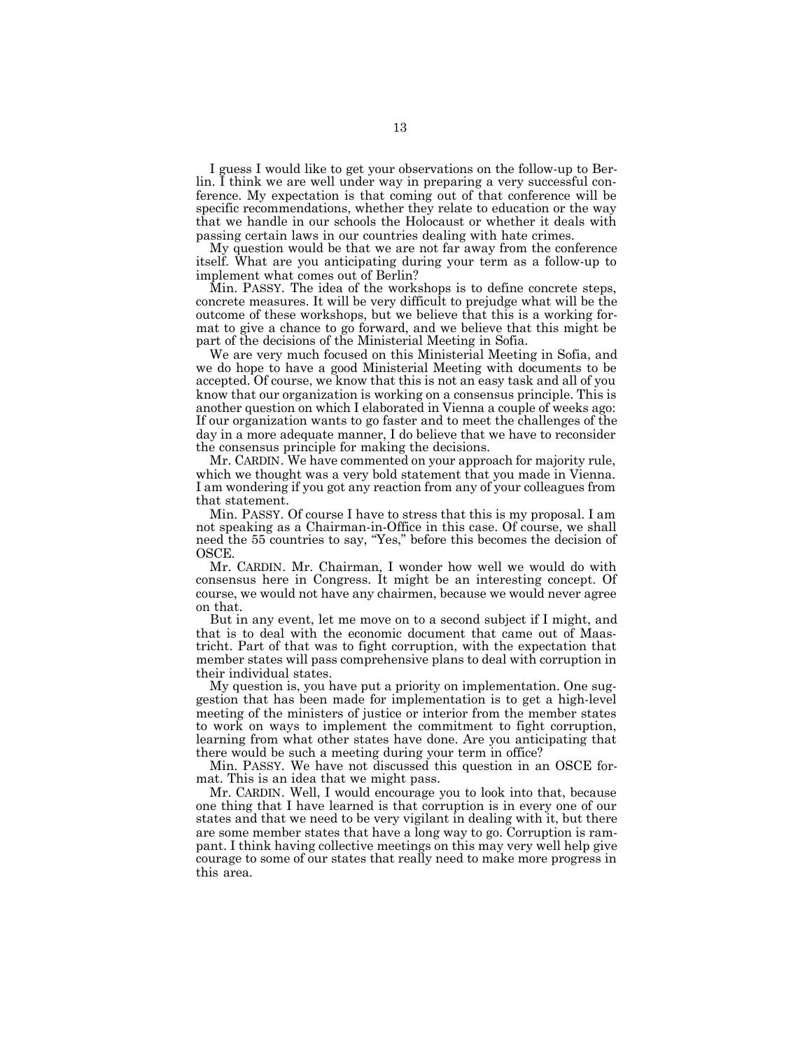I guess I would like to get your observations on the follow-up to Berlin. I think we are well under way in preparing a very successful conference. My expectation is that coming out of that conference will be specific recommendations, whether they relate to education or the way that we handle in our schools the Holocaust or whether it deals with passing certain laws in our countries dealing with hate crimes.

My question would be that we are not far away from the conference itself. What are you anticipating during your term as a follow-up to implement what comes out of Berlin?

Min. PASSY. The idea of the workshops is to define concrete steps, concrete measures. It will be very difficult to prejudge what will be the outcome of these workshops, but we believe that this is a working format to give a chance to go forward, and we believe that this might be part of the decisions of the Ministerial Meeting in Sofia.

We are very much focused on this Ministerial Meeting in Sofia, and we do hope to have a good Ministerial Meeting with documents to be accepted. Of course, we know that this is not an easy task and all of you know that our organization is working on a consensus principle. This is another question on which I elaborated in Vienna a couple of weeks ago: If our organization wants to go faster and to meet the challenges of the day in a more adequate manner, I do believe that we have to reconsider the consensus principle for making the decisions.

Mr. CARDIN. We have commented on your approach for majority rule, which we thought was a very bold statement that you made in Vienna. I am wondering if you got any reaction from any of your colleagues from that statement.

Min. PASSY. Of course I have to stress that this is my proposal. I am not speaking as a Chairman-in-Office in this case. Of course, we shall need the 55 countries to say, "Yes," before this becomes the decision of OSCE.

Mr. CARDIN. Mr. Chairman, I wonder how well we would do with consensus here in Congress. It might be an interesting concept. Of course, we would not have any chairmen, because we would never agree on that.

But in any event, let me move on to a second subject if I might, and that is to deal with the economic document that came out of Maastricht. Part of that was to fight corruption, with the expectation that member states will pass comprehensive plans to deal with corruption in their individual states.

My question is, you have put a priority on implementation. One suggestion that has been made for implementation is to get a high-level meeting of the ministers of justice or interior from the member states to work on ways to implement the commitment to fight corruption, learning from what other states have done. Are you anticipating that there would be such a meeting during your term in office?

Min. PASSY. We have not discussed this question in an OSCE format. This is an idea that we might pass.

Mr. CARDIN. Well, I would encourage you to look into that, because one thing that I have learned is that corruption is in every one of our states and that we need to be very vigilant in dealing with it, but there are some member states that have a long way to go. Corruption is rampant. I think having collective meetings on this may very well help give courage to some of our states that really need to make more progress in this area.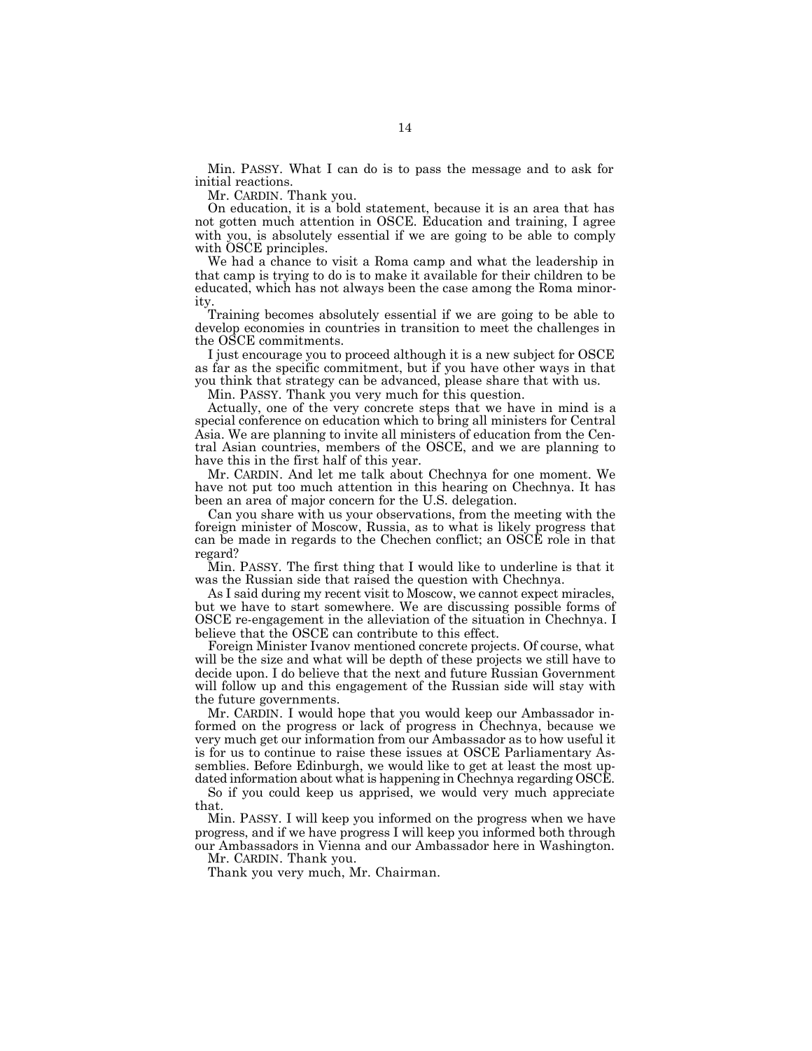Min. PASSY. What I can do is to pass the message and to ask for initial reactions.

Mr. CARDIN. Thank you.

On education, it is a bold statement, because it is an area that has not gotten much attention in OSCE. Education and training, I agree with you, is absolutely essential if we are going to be able to comply with OSCE principles.

We had a chance to visit a Roma camp and what the leadership in that camp is trying to do is to make it available for their children to be educated, which has not always been the case among the Roma minority.

Training becomes absolutely essential if we are going to be able to develop economies in countries in transition to meet the challenges in the OSCE commitments.

I just encourage you to proceed although it is a new subject for OSCE as far as the specific commitment, but if you have other ways in that you think that strategy can be advanced, please share that with us.

Min. PASSY. Thank you very much for this question.

Actually, one of the very concrete steps that we have in mind is a special conference on education which to bring all ministers for Central Asia. We are planning to invite all ministers of education from the Central Asian countries, members of the OSCE, and we are planning to have this in the first half of this year.

Mr. CARDIN. And let me talk about Chechnya for one moment. We have not put too much attention in this hearing on Chechnya. It has been an area of major concern for the U.S. delegation.

Can you share with us your observations, from the meeting with the foreign minister of Moscow, Russia, as to what is likely progress that can be made in regards to the Chechen conflict; an OSCE role in that regard?

Min. PASSY. The first thing that I would like to underline is that it was the Russian side that raised the question with Chechnya.

As I said during my recent visit to Moscow, we cannot expect miracles, but we have to start somewhere. We are discussing possible forms of OSCE re-engagement in the alleviation of the situation in Chechnya. I believe that the OSCE can contribute to this effect.

Foreign Minister Ivanov mentioned concrete projects. Of course, what will be the size and what will be depth of these projects we still have to decide upon. I do believe that the next and future Russian Government will follow up and this engagement of the Russian side will stay with the future governments.

Mr. CARDIN. I would hope that you would keep our Ambassador informed on the progress or lack of progress in Chechnya, because we very much get our information from our Ambassador as to how useful it is for us to continue to raise these issues at OSCE Parliamentary Assemblies. Before Edinburgh, we would like to get at least the most updated information about what is happening in Chechnya regarding OSCE.

So if you could keep us apprised, we would very much appreciate that.

Min. PASSY. I will keep you informed on the progress when we have progress, and if we have progress I will keep you informed both through our Ambassadors in Vienna and our Ambassador here in Washington.

Mr. CARDIN. Thank you.

Thank you very much, Mr. Chairman.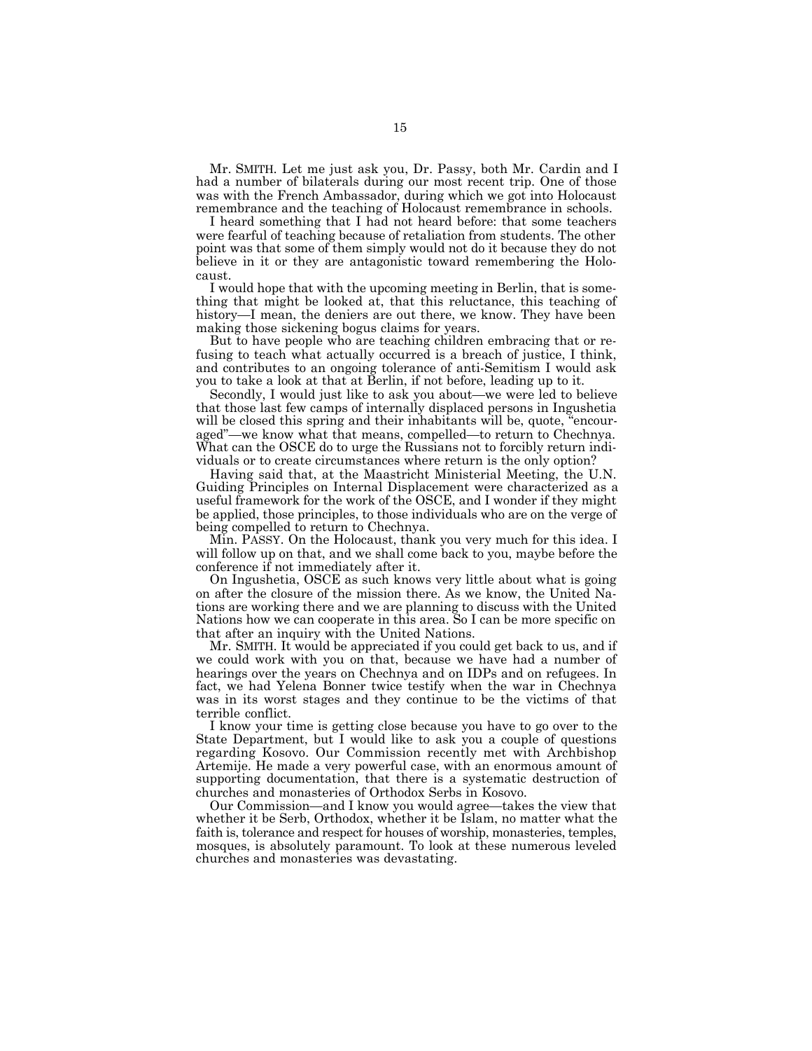Mr. SMITH. Let me just ask you, Dr. Passy, both Mr. Cardin and I had a number of bilaterals during our most recent trip. One of those was with the French Ambassador, during which we got into Holocaust remembrance and the teaching of Holocaust remembrance in schools.

I heard something that I had not heard before: that some teachers were fearful of teaching because of retaliation from students. The other point was that some of them simply would not do it because they do not believe in it or they are antagonistic toward remembering the Holocaust.

I would hope that with the upcoming meeting in Berlin, that is something that might be looked at, that this reluctance, this teaching of history—I mean, the deniers are out there, we know. They have been making those sickening bogus claims for years.

But to have people who are teaching children embracing that or refusing to teach what actually occurred is a breach of justice, I think, and contributes to an ongoing tolerance of anti-Semitism I would ask you to take a look at that at Berlin, if not before, leading up to it.

Secondly, I would just like to ask you about—we were led to believe that those last few camps of internally displaced persons in Ingushetia will be closed this spring and their inhabitants will be, quote, "encouraged"—we know what that means, compelled—to return to Chechnya. What can the OSCE do to urge the Russians not to forcibly return individuals or to create circumstances where return is the only option?

Having said that, at the Maastricht Ministerial Meeting, the U.N. Guiding Principles on Internal Displacement were characterized as a useful framework for the work of the OSCE, and I wonder if they might be applied, those principles, to those individuals who are on the verge of being compelled to return to Chechnya.

Min. PASSY. On the Holocaust, thank you very much for this idea. I will follow up on that, and we shall come back to you, maybe before the conference if not immediately after it.

On Ingushetia, OSCE as such knows very little about what is going on after the closure of the mission there. As we know, the United Nations are working there and we are planning to discuss with the United Nations how we can cooperate in this area. So I can be more specific on that after an inquiry with the United Nations.

Mr. SMITH. It would be appreciated if you could get back to us, and if we could work with you on that, because we have had a number of hearings over the years on Chechnya and on IDPs and on refugees. In fact, we had Yelena Bonner twice testify when the war in Chechnya was in its worst stages and they continue to be the victims of that terrible conflict.

I know your time is getting close because you have to go over to the State Department, but I would like to ask you a couple of questions regarding Kosovo. Our Commission recently met with Archbishop Artemije. He made a very powerful case, with an enormous amount of supporting documentation, that there is a systematic destruction of churches and monasteries of Orthodox Serbs in Kosovo.

Our Commission—and I know you would agree—takes the view that whether it be Serb, Orthodox, whether it be Islam, no matter what the faith is, tolerance and respect for houses of worship, monasteries, temples, mosques, is absolutely paramount. To look at these numerous leveled churches and monasteries was devastating.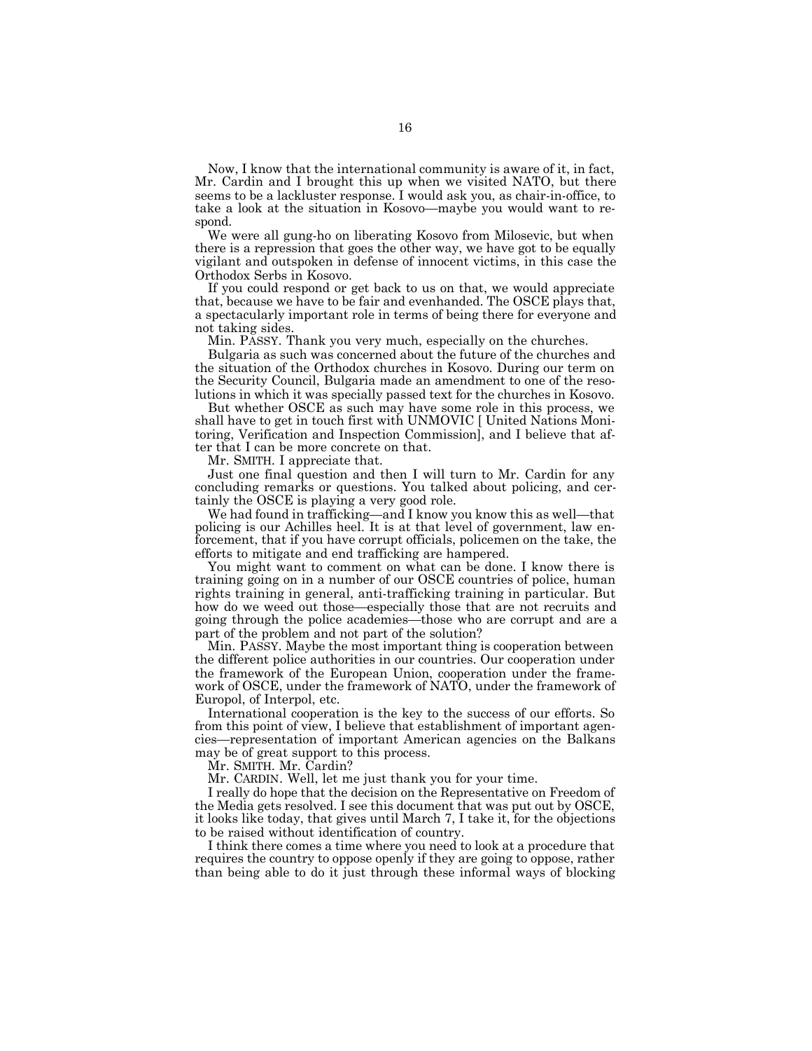Now, I know that the international community is aware of it, in fact, Mr. Cardin and I brought this up when we visited NATO, but there seems to be a lackluster response. I would ask you, as chair-in-office, to take a look at the situation in Kosovo—maybe you would want to respond.

We were all gung-ho on liberating Kosovo from Milosevic, but when there is a repression that goes the other way, we have got to be equally vigilant and outspoken in defense of innocent victims, in this case the Orthodox Serbs in Kosovo.

If you could respond or get back to us on that, we would appreciate that, because we have to be fair and evenhanded. The OSCE plays that, a spectacularly important role in terms of being there for everyone and not taking sides.

Min. PASSY. Thank you very much, especially on the churches.

Bulgaria as such was concerned about the future of the churches and the situation of the Orthodox churches in Kosovo. During our term on the Security Council, Bulgaria made an amendment to one of the resolutions in which it was specially passed text for the churches in Kosovo.

But whether OSCE as such may have some role in this process, we shall have to get in touch first with UNMOVIC [ United Nations Monitoring, Verification and Inspection Commission], and I believe that after that I can be more concrete on that.

Mr. SMITH. I appreciate that.

Just one final question and then I will turn to Mr. Cardin for any concluding remarks or questions. You talked about policing, and certainly the OSCE is playing a very good role.

We had found in trafficking—and I know you know this as well—that policing is our Achilles heel. It is at that level of government, law enforcement, that if you have corrupt officials, policemen on the take, the efforts to mitigate and end trafficking are hampered.

You might want to comment on what can be done. I know there is training going on in a number of our OSCE countries of police, human rights training in general, anti-trafficking training in particular. But how do we weed out those—especially those that are not recruits and going through the police academies—those who are corrupt and are a part of the problem and not part of the solution?

Min. PASSY. Maybe the most important thing is cooperation between the different police authorities in our countries. Our cooperation under the framework of the European Union, cooperation under the framework of OSCE, under the framework of NATO, under the framework of Europol, of Interpol, etc.

International cooperation is the key to the success of our efforts. So from this point of view, I believe that establishment of important agencies—representation of important American agencies on the Balkans may be of great support to this process.

Mr. SMITH. Mr. Cardin?

Mr. CARDIN. Well, let me just thank you for your time.

I really do hope that the decision on the Representative on Freedom of the Media gets resolved. I see this document that was put out by OSCE, it looks like today, that gives until March 7, I take it, for the objections to be raised without identification of country.

I think there comes a time where you need to look at a procedure that requires the country to oppose openly if they are going to oppose, rather than being able to do it just through these informal ways of blocking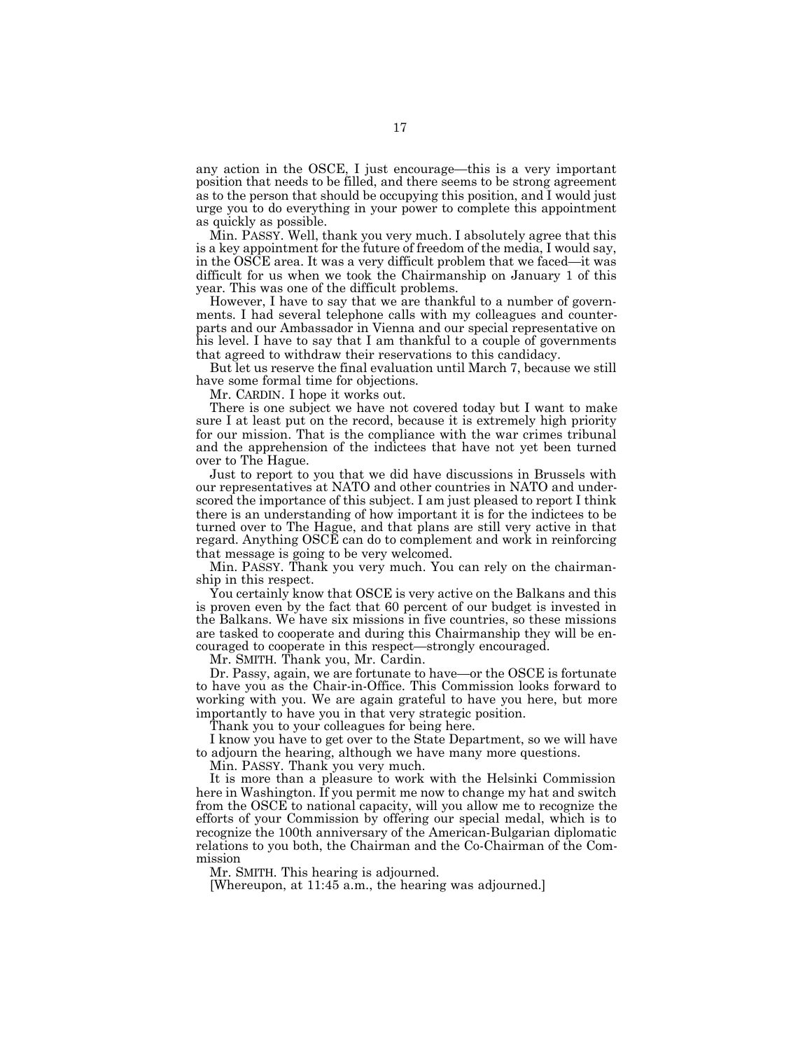any action in the OSCE, I just encourage—this is a very important position that needs to be filled, and there seems to be strong agreement as to the person that should be occupying this position, and I would just urge you to do everything in your power to complete this appointment as quickly as possible.

Min. PASSY. Well, thank you very much. I absolutely agree that this is a key appointment for the future of freedom of the media, I would say, in the OSCE area. It was a very difficult problem that we faced—it was difficult for us when we took the Chairmanship on January 1 of this year. This was one of the difficult problems.

However, I have to say that we are thankful to a number of governments. I had several telephone calls with my colleagues and counterparts and our Ambassador in Vienna and our special representative on his level. I have to say that I am thankful to a couple of governments that agreed to withdraw their reservations to this candidacy.

But let us reserve the final evaluation until March 7, because we still have some formal time for objections.

Mr. CARDIN. I hope it works out.

There is one subject we have not covered today but I want to make sure I at least put on the record, because it is extremely high priority for our mission. That is the compliance with the war crimes tribunal and the apprehension of the indictees that have not yet been turned over to The Hague.

Just to report to you that we did have discussions in Brussels with our representatives at NATO and other countries in NATO and underscored the importance of this subject. I am just pleased to report I think there is an understanding of how important it is for the indictees to be turned over to The Hague, and that plans are still very active in that regard. Anything OSCE can do to complement and work in reinforcing that message is going to be very welcomed.

Min. PASSY. Thank you very much. You can rely on the chairmanship in this respect.

You certainly know that OSCE is very active on the Balkans and this is proven even by the fact that 60 percent of our budget is invested in the Balkans. We have six missions in five countries, so these missions are tasked to cooperate and during this Chairmanship they will be encouraged to cooperate in this respect—strongly encouraged.

Mr. SMITH. Thank you, Mr. Cardin.

Dr. Passy, again, we are fortunate to have—or the OSCE is fortunate to have you as the Chair-in-Office. This Commission looks forward to working with you. We are again grateful to have you here, but more importantly to have you in that very strategic position.

Thank you to your colleagues for being here.

I know you have to get over to the State Department, so we will have to adjourn the hearing, although we have many more questions.

Min. PASSY. Thank you very much.

It is more than a pleasure to work with the Helsinki Commission here in Washington. If you permit me now to change my hat and switch from the OSCE to national capacity, will you allow me to recognize the efforts of your Commission by offering our special medal, which is to recognize the 100th anniversary of the American-Bulgarian diplomatic relations to you both, the Chairman and the Co-Chairman of the Commission

Mr. SMITH. This hearing is adjourned.

[Whereupon, at 11:45 a.m., the hearing was adjourned.]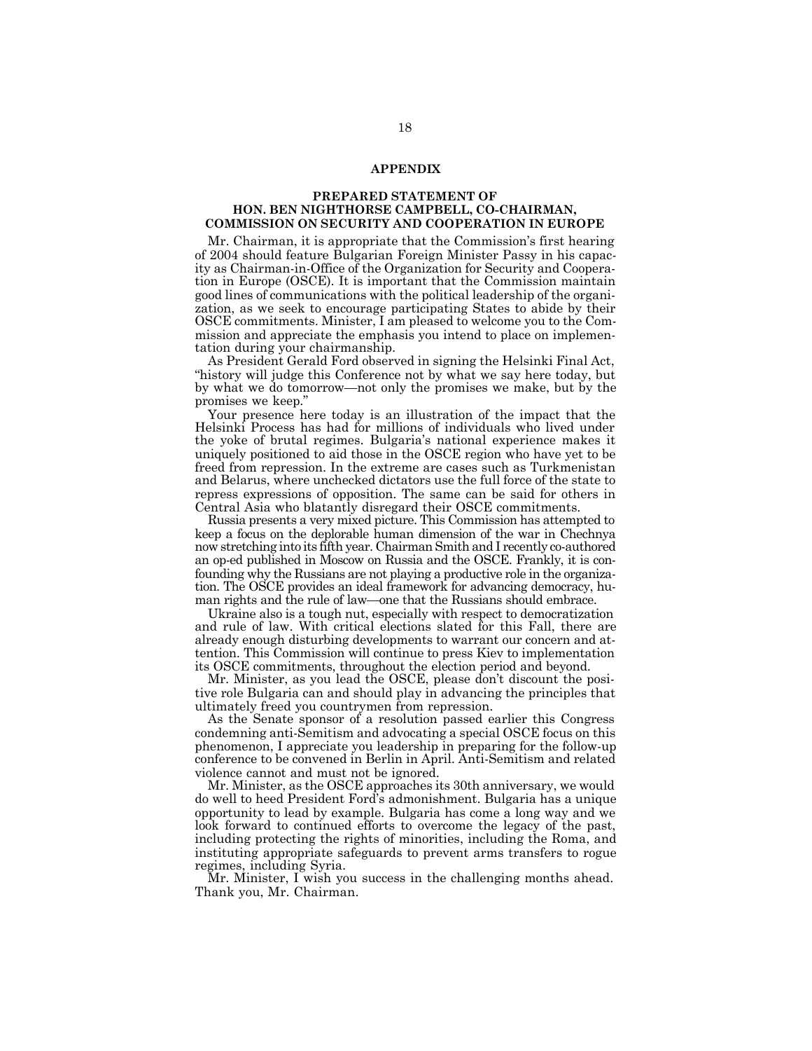#### **APPENDIX**

#### **PREPARED STATEMENT OF HON. BEN NIGHTHORSE CAMPBELL, CO-CHAIRMAN, COMMISSION ON SECURITY AND COOPERATION IN EUROPE**

Mr. Chairman, it is appropriate that the Commission's first hearing of 2004 should feature Bulgarian Foreign Minister Passy in his capacity as Chairman-in-Office of the Organization for Security and Cooperation in Europe (OSCE). It is important that the Commission maintain good lines of communications with the political leadership of the organization, as we seek to encourage participating States to abide by their OSCE commitments. Minister, I am pleased to welcome you to the Commission and appreciate the emphasis you intend to place on implementation during your chairmanship.

As President Gerald Ford observed in signing the Helsinki Final Act, "history will judge this Conference not by what we say here today, but by what we do tomorrow—not only the promises we make, but by the promises we keep."

Your presence here today is an illustration of the impact that the Helsinki Process has had for millions of individuals who lived under the yoke of brutal regimes. Bulgaria's national experience makes it uniquely positioned to aid those in the OSCE region who have yet to be freed from repression. In the extreme are cases such as Turkmenistan and Belarus, where unchecked dictators use the full force of the state to repress expressions of opposition. The same can be said for others in Central Asia who blatantly disregard their OSCE commitments.

Russia presents a very mixed picture. This Commission has attempted to keep a focus on the deplorable human dimension of the war in Chechnya now stretching into its fifth year. Chairman Smith and I recently co-authored an op-ed published in Moscow on Russia and the OSCE. Frankly, it is confounding why the Russians are not playing a productive role in the organization. The OSCE provides an ideal framework for advancing democracy, human rights and the rule of law—one that the Russians should embrace.

Ukraine also is a tough nut, especially with respect to democratization and rule of law. With critical elections slated for this Fall, there are already enough disturbing developments to warrant our concern and attention. This Commission will continue to press Kiev to implementation its OSCE commitments, throughout the election period and beyond.

Mr. Minister, as you lead the OSCE, please don't discount the positive role Bulgaria can and should play in advancing the principles that ultimately freed you countrymen from repression.

As the Senate sponsor of a resolution passed earlier this Congress condemning anti-Semitism and advocating a special OSCE focus on this phenomenon, I appreciate you leadership in preparing for the follow-up conference to be convened in Berlin in April. Anti-Semitism and related violence cannot and must not be ignored.

Mr. Minister, as the OSCE approaches its 30th anniversary, we would do well to heed President Ford's admonishment. Bulgaria has a unique opportunity to lead by example. Bulgaria has come a long way and we look forward to continued efforts to overcome the legacy of the past, including protecting the rights of minorities, including the Roma, and instituting appropriate safeguards to prevent arms transfers to rogue regimes, including Syria.

Mr. Minister, I wish you success in the challenging months ahead. Thank you, Mr. Chairman.